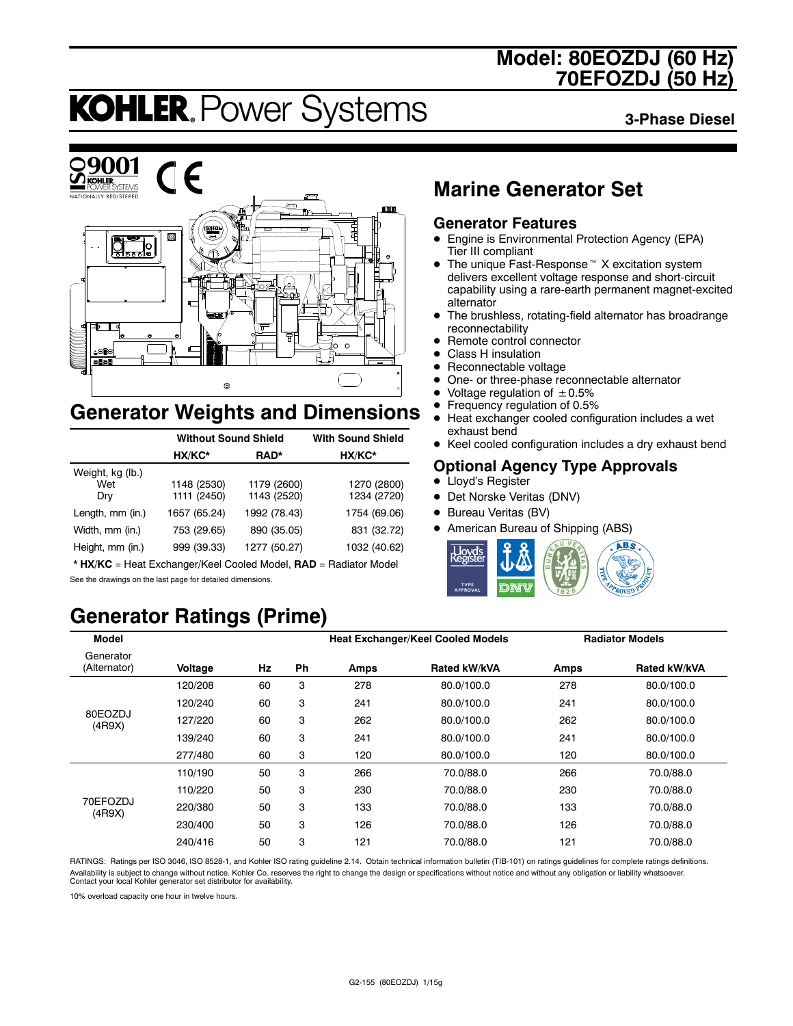# **Model: 80EOZDJ (60 Hz) 70EFOZDJ (50 Hz)**

# **KOHLER. Power Systems**

**3-Phase Diesel**



# **Generator Weights and Dimensions**

|                                | <b>Without Sound Shield</b> | <b>With Sound Shield</b>   |                            |
|--------------------------------|-----------------------------|----------------------------|----------------------------|
|                                | HX/KC*                      | RAD*                       | HX/KC*                     |
| Weight, kg (lb.)<br>Wet<br>Dry | 1148 (2530)<br>1111 (2450)  | 1179 (2600)<br>1143 (2520) | 1270 (2800)<br>1234 (2720) |
| Length, mm (in.)               | 1657 (65.24)                | 1992 (78.43)               | 1754 (69.06)               |
| Width, mm (in.)                | 753 (29.65)                 | 890 (35.05)                | 831 (32.72)                |
| Height, mm (in.)               | 999 (39.33)                 | 1277 (50.27)               | 1032 (40.62)               |

\* **HX/KC** = Heat Exchanger/Keel Cooled Model, **RAD** = Radiator Model See the drawings on the last page for detailed dimensions.

# **Generator Ratings (Prime)**

# **Marine Generator Set**

### **Generator Features**

- Engine is Environmental Protection Agency (EPA) Tier III compliant
- $\bullet$  The unique Fast-Response<sup> $M$ </sup> X excitation system delivers excellent voltage response and short-circuit capability using a rare-earth permanent magnet-excited alternator
- The brushless, rotating-field alternator has broadrange reconnectability
- Remote control connector
- Class H insulation
- $\bullet$  Reconnectable voltage
- One- or three-phase reconnectable alternator
- Voltage regulation of  $\pm 0.5\%$ <br>• Frequency regulation of 0.5%
- **•** Frequency regulation of 0.5%<br>• Heat exchanger cooled config
- Heat exchanger cooled configuration includes a wet exhaust bend
- Keel cooled configuration includes a dry exhaust bend

### **Optional Agency Type Approvals**

- Lloyd's Register
- Det Norske Veritas (DNV)
- Bureau Veritas (BV)
- American Bureau of Shipping (ABS)



| <b>Model</b>              |         |    |    | <b>Heat Exchanger/Keel Cooled Models</b> |                     |      | <b>Radiator Models</b> |
|---------------------------|---------|----|----|------------------------------------------|---------------------|------|------------------------|
| Generator<br>(Alternator) | Voltage | Hz | Ph | Amps                                     | <b>Rated kW/kVA</b> | Amps | Rated kW/kVA           |
|                           | 120/208 | 60 | 3  | 278                                      | 80.0/100.0          | 278  | 80.0/100.0             |
|                           | 120/240 | 60 | 3  | 241                                      | 80.0/100.0          | 241  | 80.0/100.0             |
| 80EOZDJ<br>(4R9X)         | 127/220 | 60 | 3  | 262                                      | 80.0/100.0          | 262  | 80.0/100.0             |
|                           | 139/240 | 60 | 3  | 241                                      | 80.0/100.0          | 241  | 80.0/100.0             |
|                           | 277/480 | 60 | 3  | 120                                      | 80.0/100.0          | 120  | 80.0/100.0             |
|                           | 110/190 | 50 | 3  | 266                                      | 70.0/88.0           | 266  | 70.0/88.0              |
|                           | 110/220 | 50 | 3  | 230                                      | 70.0/88.0           | 230  | 70.0/88.0              |
| 70EFOZDJ<br>(4R9X)        | 220/380 | 50 | 3  | 133                                      | 70.0/88.0           | 133  | 70.0/88.0              |
|                           | 230/400 | 50 | 3  | 126                                      | 70.0/88.0           | 126  | 70.0/88.0              |
|                           | 240/416 | 50 | 3  | 121                                      | 70.0/88.0           | 121  | 70.0/88.0              |

RATINGS: Ratings per ISO 3046, ISO 8528-1, and Kohler ISO rating guideline 2.14. Obtain technical information bulletin (TIB-101) on ratings guidelines for complete ratings definitions. Availability is subject to change without notice. Kohler Co. reserves the right to change the design or specifications without notice and without any obligation or liability whatsoever. Contact your local Kohler generator set distributor for availability.

10% overload capacity one hour in twelve hours.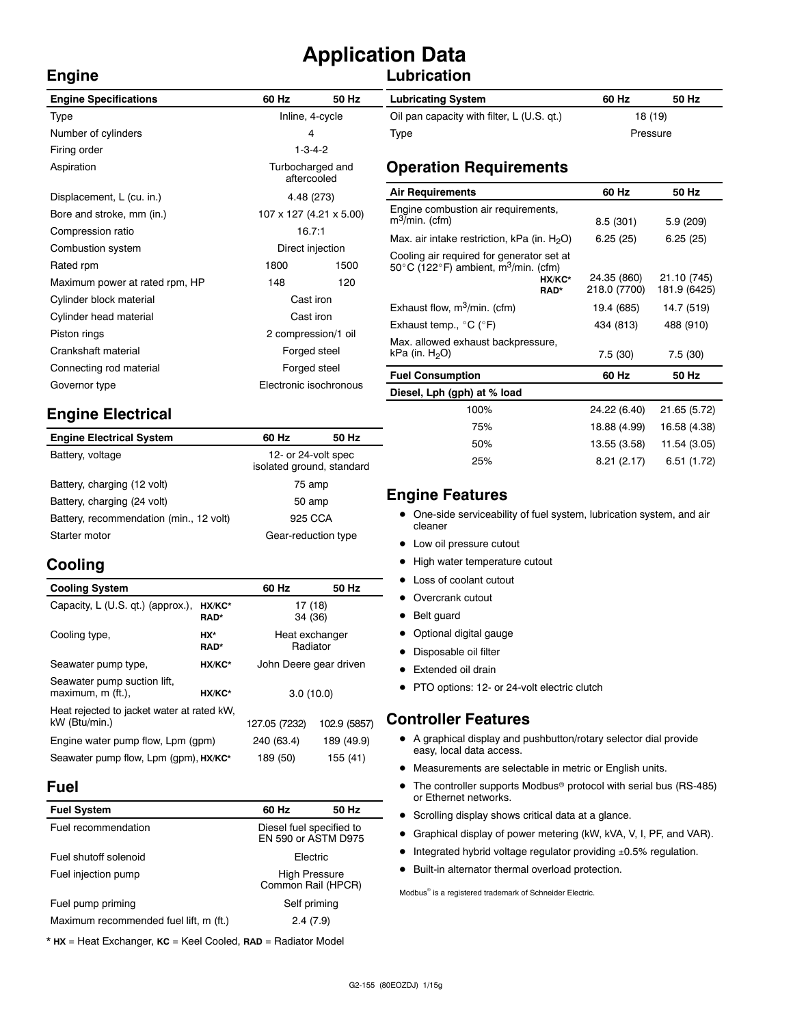# **Application Data**

### **Lubrication**

| <b>Engine Specifications</b>   | 60 Hz                           | 50 Hz            | <b>Lubricating System</b>                                            |
|--------------------------------|---------------------------------|------------------|----------------------------------------------------------------------|
| Type                           | Inline, 4-cycle                 |                  | Oil pan capacity with filter, L (U.S. qt.)                           |
| Number of cylinders            | 4                               |                  | Type                                                                 |
| Firing order                   | $1 - 3 - 4 - 2$                 |                  |                                                                      |
| Aspiration                     | Turbocharged and<br>aftercooled |                  | <b>Operation Requirements</b>                                        |
| Displacement, L (cu. in.)      | 4.48 (273)                      |                  | <b>Air Requirements</b>                                              |
| Bore and stroke, mm (in.)      | 107 x 127 (4.21 x 5.00)         |                  | Engine combustion air requirements,<br>$m^3$ /min. (cfm)             |
| Compression ratio              | 16.7:1                          |                  | Max. air intake restriction, kPa (in. $H_2O$ )                       |
| Combustion system              |                                 | Direct injection | Cooling air required for generator set at                            |
| Rated rpm                      | 1800<br>1500<br>148<br>120      |                  | 50 $\degree$ C (122 $\degree$ F) ambient, m <sup>3</sup> /min. (cfm) |
| Maximum power at rated rpm, HP |                                 |                  | HX/KC*<br>RAD*                                                       |
| Cylinder block material        | Cast iron                       |                  |                                                                      |
| Cylinder head material         | Cast iron                       |                  | Exhaust flow, $m^3/m$ in. (cfm)                                      |
| Piston rings                   | 2 compression/1 oil             |                  | Exhaust temp., $^{\circ}$ C ( $^{\circ}$ F)                          |
| Crankshaft material            | Forged steel                    |                  | Max. allowed exhaust backpressure,<br>kPa (in. $H2O$ )               |
| Connecting rod material        | Forged steel                    |                  |                                                                      |
| Governor type                  | Electronic isochronous          |                  | <b>Fuel Consumption</b>                                              |
|                                |                                 |                  | Diesel, Lph (gph) at % load                                          |

# **Engine Electrical**

| <b>Engine Electrical System</b>         | 60 Hz                                            | 50 Hz |  |
|-----------------------------------------|--------------------------------------------------|-------|--|
| Battery, voltage                        | 12- or 24-volt spec<br>isolated ground, standard |       |  |
| Battery, charging (12 volt)             | 75 amp                                           |       |  |
| Battery, charging (24 volt)             | 50 amp                                           |       |  |
| Battery, recommendation (min., 12 volt) | 925 CCA                                          |       |  |
| Starter motor                           | Gear-reduction type                              |       |  |

# **Cooling**

**Engine**

| <b>Cooling System</b>                                       |                    | 60 Hz                      | 50 Hz        |
|-------------------------------------------------------------|--------------------|----------------------------|--------------|
| Capacity, L (U.S. qt.) (approx.),                           | HX/KC*<br>RAD*     | 17 (18)<br>34 (36)         |              |
| Cooling type,                                               | HX*<br><b>RAD*</b> | Heat exchanger<br>Radiator |              |
| Seawater pump type,                                         | HX/KC*             | John Deere gear driven     |              |
| Seawater pump suction lift,<br>maximum, m (ft.),<br>HX/KC*  |                    | 3.0(10.0)                  |              |
| Heat rejected to jacket water at rated kW.<br>kW (Btu/min.) |                    | 127.05 (7232)              | 102.9 (5857) |
| Engine water pump flow, Lpm (gpm)                           | 240 (63.4)         | 189 (49.9)                 |              |
| Seawater pump flow, Lpm (gpm), HX/KC*                       |                    | 189 (50)                   | 155 (41)     |

### **Fuel**

| <b>Fuel System</b>                     | 60 Hz                                      | 50 Hz                                           |  |
|----------------------------------------|--------------------------------------------|-------------------------------------------------|--|
| Fuel recommendation                    |                                            | Diesel fuel specified to<br>EN 590 or ASTM D975 |  |
| Fuel shutoff solenoid                  | Electric                                   |                                                 |  |
| Fuel injection pump                    | <b>High Pressure</b><br>Common Rail (HPCR) |                                                 |  |
| Fuel pump priming                      | Self priming                               |                                                 |  |
| Maximum recommended fuel lift, m (ft.) | 2.4(7.9)                                   |                                                 |  |

\* **HX** = Heat Exchanger, **KC** = Keel Cooled, **RAD** = Radiator Model

| <b>Lubricating System</b>                  | 60 Hz    | 50 Hz |
|--------------------------------------------|----------|-------|
| Oil pan capacity with filter, L (U.S. qt.) | 18 (19)  |       |
| Type                                       | Pressure |       |

| <b>Air Requirements</b>                                                                                                   | 60 Hz                                 | 50 Hz                       |
|---------------------------------------------------------------------------------------------------------------------------|---------------------------------------|-----------------------------|
| Engine combustion air requirements,<br>$m^3$ /min. (cfm)                                                                  | 8.5(301)                              | 5.9(209)                    |
| Max. air intake restriction, kPa (in. $H_2O$ )                                                                            | 6.25(25)                              | 6.25(25)                    |
| Cooling air required for generator set at<br>50 $\degree$ C (122 $\degree$ F) ambient, m <sup>3</sup> /min. (cfm)<br>RAD* | 24.35 (860)<br>HX/KC*<br>218.0 (7700) | 21.10 (745)<br>181.9 (6425) |
| Exhaust flow, $m^3/m$ in. (cfm)                                                                                           | 19.4 (685)                            | 14.7 (519)                  |
| Exhaust temp., °C (°F)                                                                                                    | 434 (813)                             | 488 (910)                   |
| Max. allowed exhaust backpressure,<br>kPa (in. H <sub>2</sub> O)                                                          | 7.5(30)                               | 7.5(30)                     |
| <b>Fuel Consumption</b>                                                                                                   | 60 Hz                                 | 50 Hz                       |
| Diesel, Lph (gph) at % load                                                                                               |                                       |                             |
| 100%                                                                                                                      | 24.22 (6.40)                          | 21.65 (5.72)                |
| 75%                                                                                                                       | 18.88 (4.99)                          | 16.58 (4.38)                |
| 50%                                                                                                                       | 13.55 (3.58)                          | 11.54 (3.05)                |

### **Engine Features**

• One-side serviceability of fuel system, lubrication system, and air cleaner

25% 8.21 (2.17) 6.51 (1.72)

- Low oil pressure cutout
- High water temperature cutout
- Loss of coolant cutout
- Overcrank cutout
- Belt guard
- Optional digital gauge
- Disposable oil filter
- Extended oil drain
- PTO options: 12- or 24-volt electric clutch

### **Controller Features**

- A graphical display and pushbutton/rotary selector dial provide easy, local data access.
- $\bullet$  Measurements are selectable in metric or English units.
- $\bullet$  The controller supports Modbus<sup>®</sup> protocol with serial bus (RS-485) or Ethernet networks.
- Scrolling display shows critical data at a glance.
- Graphical display of power metering (kW, kVA, V, I, PF, and VAR).
- $\bullet$  Integrated hybrid voltage regulator providing  $\pm 0.5\%$  regulation.
- $\bullet$  Built-in alternator thermal overload protection.

Modbus<sup>®</sup> is a registered trademark of Schneider Electric.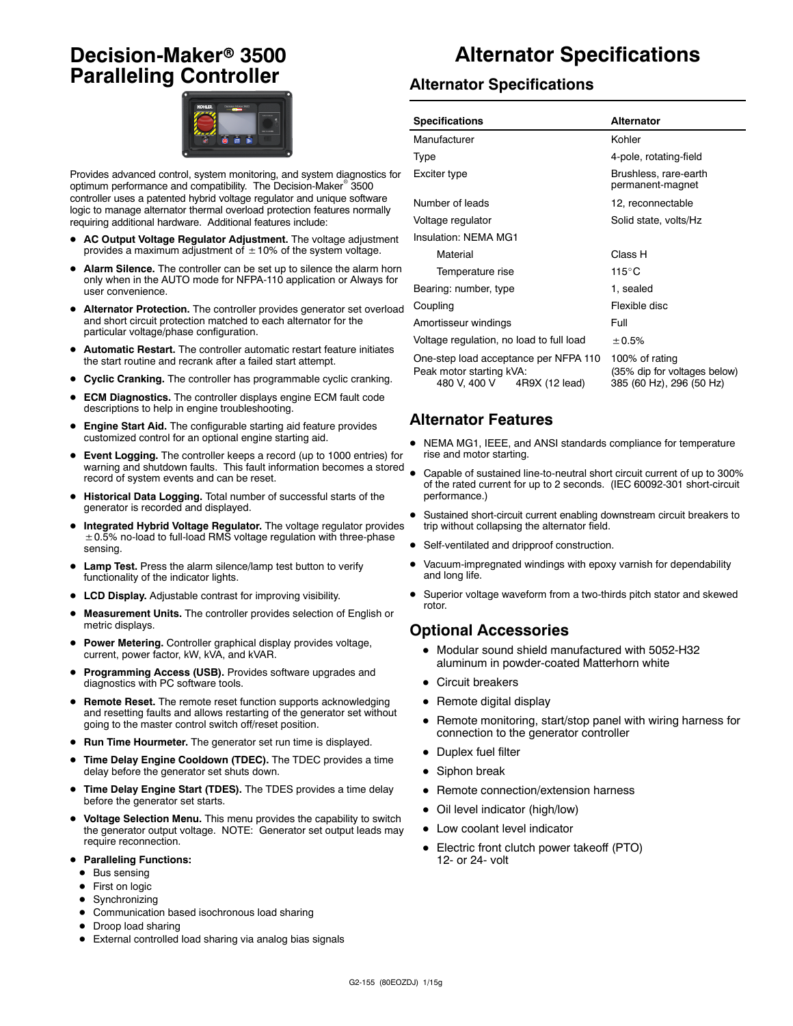# **Decision-Maker<sup>®</sup> 3500 Paralleling Controller**



Provides advanced control, system monitoring, and system diagnostics for optimum performance and compatibility. The Decision-Maker<sup>®</sup> 3500 controller uses a patented hybrid voltage regulator and unique software logic to manage alternator thermal overload protection features normally requiring additional hardware. Additional features include:

- AC Output Voltage Regulator Adjustment. The voltage adjustment provides a maximum adjustment of  $\pm$  10% of the system voltage.
- Alarm Silence. The controller can be set up to silence the alarm horn only when in the AUTO mode for NFPA-110 application or Always for user convenience.
- Alternator Protection. The controller provides generator set overload and short circuit protection matched to each alternator for the particular voltage/phase configuration.
- Automatic Restart. The controller automatic restart feature initiates the start routine and recrank after a failed start attempt.
- **Cyclic Cranking.** The controller has programmable cyclic cranking.
- **ECM Diagnostics.** The controller displays engine ECM fault code descriptions to help in engine troubleshooting.
- Engine Start Aid. The configurable starting aid feature provides customized control for an optional engine starting aid.
- **Event Logging.** The controller keeps a record (up to 1000 entries) for warning and shutdown faults. This fault information becomes a stored record of system events and can be reset.
- $\bullet$  Historical Data Logging. Total number of successful starts of the generator is recorded and displayed.
- Integrated Hybrid Voltage Regulator. The voltage regulator provides  $\pm$  0.5% no-load to full-load RMS voltage regulation with three-phase sensing.
- Lamp Test. Press the alarm silence/lamp test button to verify functionality of the indicator lights.
- LCD Display. Adjustable contrast for improving visibility.
- Measurement Units. The controller provides selection of English or metric displays.
- **Power Metering.** Controller graphical display provides voltage, current, power factor, kW, kVA, and kVAR.
- Programming Access (USB). Provides software upgrades and diagnostics with PC software tools.
- **Remote Reset.** The remote reset function supports acknowledging and resetting faults and allows restarting of the generator set without going to the master control switch off/reset position.
- Run Time Hourmeter. The generator set run time is displayed.
- **Time Delay Engine Cooldown (TDEC).** The TDEC provides a time delay before the generator set shuts down.
- Time Delay Engine Start (TDES). The TDES provides a time delay before the generator set starts.
- $\bullet$  Voltage Selection Menu. This menu provides the capability to switch the generator output voltage. NOTE: Generator set output leads may require reconnection.
- **Paralleling Functions:** 
	- $\bullet$  Bus sensing
	- First on logic
	- $\bullet$  Synchronizing
	- $\bullet$  Communication based isochronous load sharing
	- Droop load sharing
	- External controlled load sharing via analog bias signals

# **Alternator Specifications**

#### **Alternator Specifications**

| <b>Specifications</b>                                                                               | <b>Alternator</b>                                                          |  |
|-----------------------------------------------------------------------------------------------------|----------------------------------------------------------------------------|--|
| Manufacturer                                                                                        | Kohler                                                                     |  |
| <b>Type</b>                                                                                         | 4-pole, rotating-field                                                     |  |
| Exciter type                                                                                        | Brushless, rare-earth<br>permanent-magnet                                  |  |
| Number of leads                                                                                     | 12, reconnectable                                                          |  |
| Voltage regulator                                                                                   | Solid state, volts/Hz                                                      |  |
| Insulation: NFMA MG1                                                                                |                                                                            |  |
| Material                                                                                            | Class H                                                                    |  |
| Temperature rise                                                                                    | $115^{\circ}$ C                                                            |  |
| Bearing: number, type                                                                               | 1, sealed                                                                  |  |
| Coupling                                                                                            | Flexible disc                                                              |  |
| Amortisseur windings                                                                                | Full                                                                       |  |
| Voltage regulation, no load to full load                                                            | ± 0.5%                                                                     |  |
| One-step load acceptance per NFPA 110<br>Peak motor starting kVA:<br>480 V, 400 V<br>4R9X (12 lead) | 100% of rating<br>(35% dip for voltages below)<br>385 (60 Hz), 296 (50 Hz) |  |

### **Alternator Features**

- NEMA MG1, IEEE, and ANSI standards compliance for temperature rise and motor starting.
- Capable of sustained line-to-neutral short circuit current of up to 300% of the rated current for up to 2 seconds. (IEC 60092-301 short-circuit performance.)
- Sustained short-circuit current enabling downstream circuit breakers to trip without collapsing the alternator field.
- Self-ventilated and dripproof construction.
- Vacuum-impregnated windings with epoxy varnish for dependability and long life.
- Superior voltage waveform from a two-thirds pitch stator and skewed rotor.

### **Optional Accessories**

- $\bullet$  Modular sound shield manufactured with 5052-H32 aluminum in powder-coated Matterhorn white
- Circuit breakers
- $\bullet$  Remote digital display
- Remote monitoring, start/stop panel with wiring harness for connection to the generator controller
- Duplex fuel filter
- $\bullet$  Siphon break
- Remote connection/extension harness
- Oil level indicator (high/low)
- Low coolant level indicator
- Electric front clutch power takeoff (PTO) 12- or 24- volt